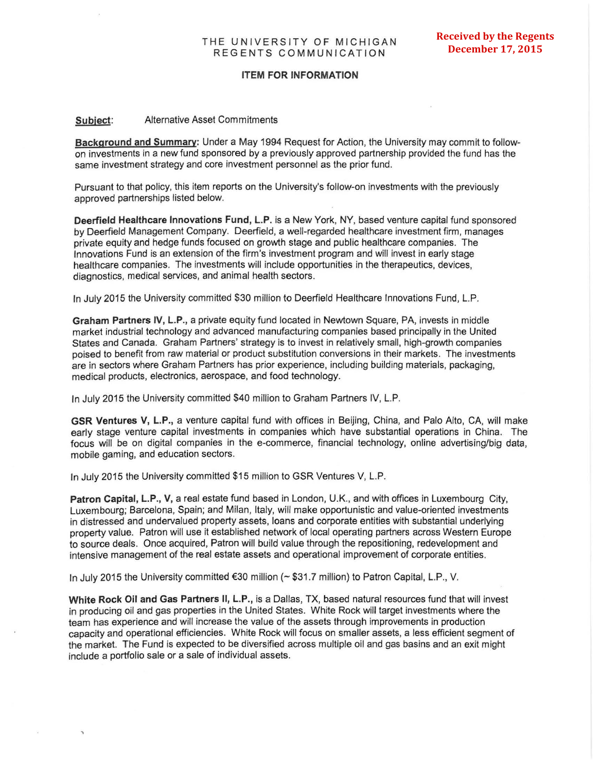## **ITEM FOR INFORMATION**

## **Subject:**  Alternative Asset Commitments

**Background and Summary:** Under a May 1994 Request for Action, the University may commit to followon investments in a new fund sponsored by a previously approved partnership provided the fund has the same investment strategy and core investment personnel as the prior fund.

Pursuant to that policy, this item reports on the University's follow-on investments with the previously approved partnerships listed below.

**Deerfield Healthcare Innovations Fund, L.P.** is a New York, NY, based venture capital fund sponsored by Deerfield Management Company. Deerfield, a well-regarded healthcare investment firm, manages private equity and hedge funds focused on growth stage and public healthcare companies. The Innovations Fund is an extension of the firm 's investment program and will invest in early stage healthcare companies. The investments will include opportunities in the therapeutics, devices, diagnostics, medical services, and animal health sectors.

In July 2015 the University committed \$30 million to Deerfield Healthcare Innovations Fund, L.P.

**Graham Partners** IV, **L.P.,** a private equity fund located in Newtown Square, PA, invests in middle market industrial technology and advanced manufacturing companies based principally in the United States and Canada. Graham Partners' strategy is to invest in relatively small, high-growth companies poised to benefit from raw material or product substitution conversions in their markets. The investments are in sectors where Graham Partners has prior experience, including building materials, packaging, medical products, electronics, aerospace, and food technology.

In July 2015 the University committed \$40 million to Graham Partners IV, L.P.

**GSR Ventures V, L.P.,** a venture capital fund with offices in Beijing, China, and Palo Alto, CA, will make early stage venture capital investments in companies which have substantial operations in China. The focus will be on digital companies in the e-commerce, financial technology, online advertising/big data, mobile gaming, and education sectors.

In July 2015 the University committed \$15 million to GSR Ventures V, L.P.

**Patron Capital, L.P., V,** a real estate fund based in London, U.K., and with offices in Luxembourg City, Luxembourg; Barcelona, Spain; and Milan, Italy, will make opportunistic and value-oriented investments in distressed and undervalued property assets, loans and corporate entities with substantial underlying property value. Patron will use it established network of local operating partners across Western Europe to source deals. Once acquired, Patron will build value through the repositioning, redevelopment and intensive management of the real estate assets and operational improvement of corporate entities.

In July 2015 the University committed €30 million (~ \$31.7 million) to Patron Capital, L.P., V.

**White Rock Oil and Gas Partners II, L.P.,** is a Dallas, TX, based natural resources fund that will invest in producing oil and gas properties in the United States. White Rock will target investments where the team has experience and will increase the value of the assets through improvements in production capacity and operational efficiencies. White Rock will focus on smaller assets, a less efficient segment of the market. The Fund is expected to be diversified across multiple oil and gas basins and an exit might include a portfolio sale or a sale of individual assets.